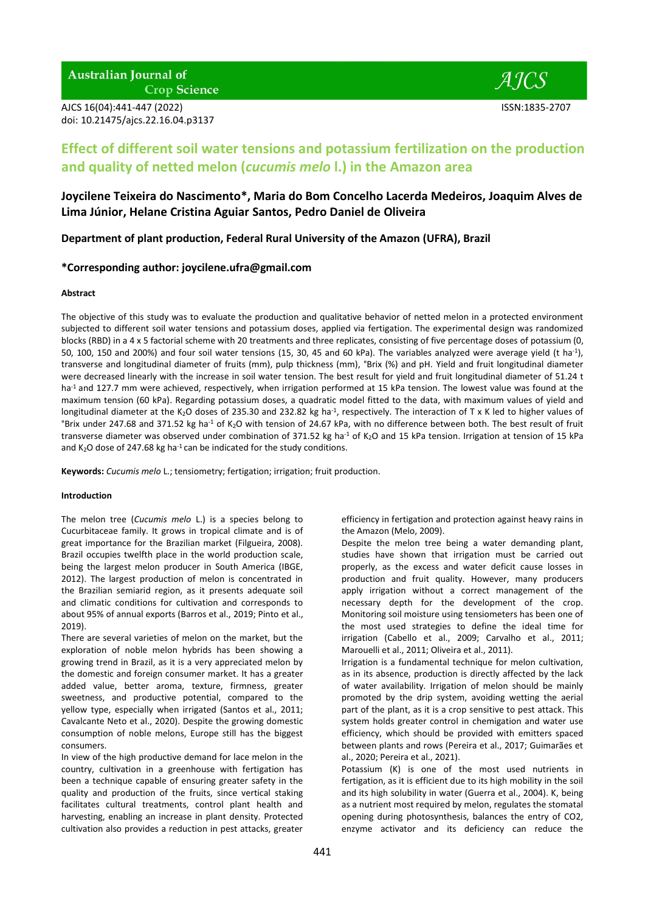**Australian Journal of Crop Science** 

AJCS 16(04):441-447 (2022) ISSN:1835-2707 doi: 10.21475/ajcs.22.16.04.p3137



# **Effect of different soil water tensions and potassium fertilization on the production and quality of netted melon (***cucumis melo* **l.) in the Amazon area**

# **Joycilene Teixeira do Nascimento\*, Maria do Bom Concelho Lacerda Medeiros, Joaquim Alves de Lima Júnior, Helane Cristina Aguiar Santos, Pedro Daniel de Oliveira**

**Department of plant production, Federal Rural University of the Amazon (UFRA), Brazil**

# **\*Corresponding author: joycilene.ufra@gmail.com**

## **Abstract**

The objective of this study was to evaluate the production and qualitative behavior of netted melon in a protected environment subjected to different soil water tensions and potassium doses, applied via fertigation. The experimental design was randomized blocks (RBD) in a 4 x 5 factorial scheme with 20 treatments and three replicates, consisting of five percentage doses of potassium (0, 50, 100, 150 and 200%) and four soil water tensions (15, 30, 45 and 60 kPa). The variables analyzed were average yield (t ha<sup>-1</sup>), transverse and longitudinal diameter of fruits (mm), pulp thickness (mm), °Brix (%) and pH. Yield and fruit longitudinal diameter were decreased linearly with the increase in soil water tension. The best result for yield and fruit longitudinal diameter of 51.24 t ha<sup>-1</sup> and 127.7 mm were achieved, respectively, when irrigation performed at 15 kPa tension. The lowest value was found at the maximum tension (60 kPa). Regarding potassium doses, a quadratic model fitted to the data, with maximum values of yield and longitudinal diameter at the K<sub>2</sub>O doses of 235.30 and 232.82 kg ha<sup>-1</sup>, respectively. The interaction of T x K led to higher values of °Brix under 247.68 and 371.52 kg ha<sup>-1</sup> of K<sub>2</sub>O with tension of 24.67 kPa, with no difference between both. The best result of fruit transverse diameter was observed under combination of 371.52 kg ha<sup>-1</sup> of K<sub>2</sub>O and 15 kPa tension. Irrigation at tension of 15 kPa and K<sub>2</sub>O dose of 247.68 kg ha<sup>-1</sup> can be indicated for the study conditions.

**Keywords:** *Cucumis melo* L.; tensiometry; fertigation; irrigation; fruit production.

# **Introduction**

The melon tree (*Cucumis melo* L.) is a species belong to Cucurbitaceae family. It grows in tropical climate and is of great importance for the Brazilian market (Filgueira, 2008). Brazil occupies twelfth place in the world production scale, being the largest melon producer in South America (IBGE, 2012). The largest production of melon is concentrated in the Brazilian semiarid region, as it presents adequate soil and climatic conditions for cultivation and corresponds to about 95% of annual exports (Barros et al., 2019; Pinto et al., 2019).

There are several varieties of melon on the market, but the exploration of noble melon hybrids has been showing a growing trend in Brazil, as it is a very appreciated melon by the domestic and foreign consumer market. It has a greater added value, better aroma, texture, firmness, greater sweetness, and productive potential, compared to the yellow type, especially when irrigated (Santos et al., 2011; Cavalcante Neto et al., 2020). Despite the growing domestic consumption of noble melons, Europe still has the biggest consumers.

In view of the high productive demand for lace melon in the country, cultivation in a greenhouse with fertigation has been a technique capable of ensuring greater safety in the quality and production of the fruits, since vertical staking facilitates cultural treatments, control plant health and harvesting, enabling an increase in plant density. Protected cultivation also provides a reduction in pest attacks, greater

efficiency in fertigation and protection against heavy rains in the Amazon (Melo, 2009).

Despite the melon tree being a water demanding plant, studies have shown that irrigation must be carried out properly, as the excess and water deficit cause losses in production and fruit quality. However, many producers apply irrigation without a correct management of the necessary depth for the development of the crop. Monitoring soil moisture using tensiometers has been one of the most used strategies to define the ideal time for irrigation (Cabello et al., 2009; Carvalho et al., 2011; Marouelli et al., 2011; Oliveira et al., 2011).

Irrigation is a fundamental technique for melon cultivation, as in its absence, production is directly affected by the lack of water availability. Irrigation of melon should be mainly promoted by the drip system, avoiding wetting the aerial part of the plant, as it is a crop sensitive to pest attack. This system holds greater control in chemigation and water use efficiency, which should be provided with emitters spaced between plants and rows (Pereira et al., 2017; Guimarães et al., 2020; Pereira et al., 2021).

Potassium (K) is one of the most used nutrients in fertigation, as it is efficient due to its high mobility in the soil and its high solubility in water (Guerra et al., 2004). K, being as a nutrient most required by melon, regulates the stomatal opening during photosynthesis, balances the entry of CO2, enzyme activator and its deficiency can reduce the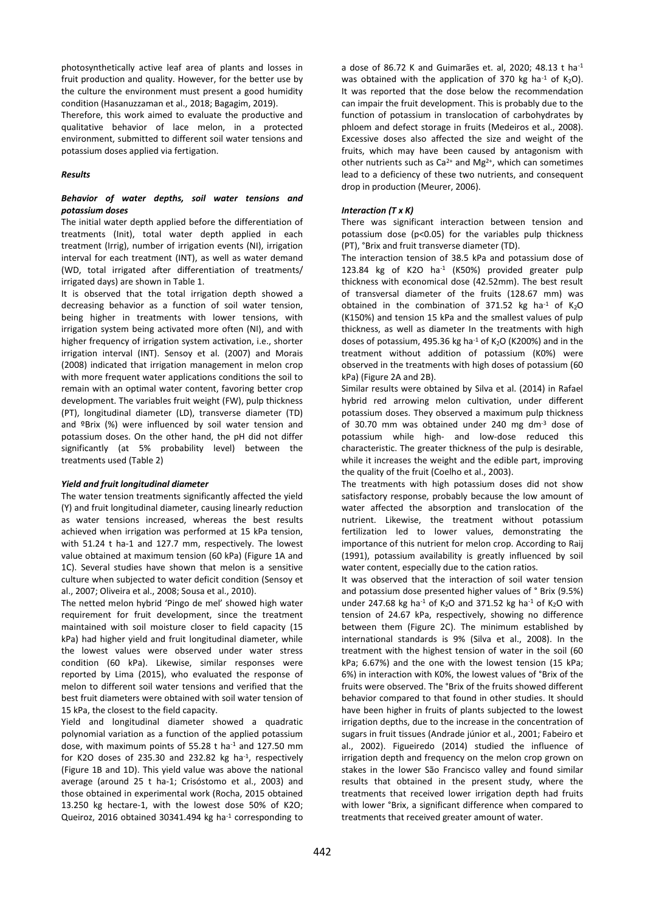photosynthetically active leaf area of plants and losses in fruit production and quality. However, for the better use by the culture the environment must present a good humidity condition (Hasanuzzaman et al., 2018; Bagagim, 2019).

Therefore, this work aimed to evaluate the productive and qualitative behavior of lace melon, in a protected environment, submitted to different soil water tensions and potassium doses applied via fertigation.

#### *Results*

# *Behavior of water depths, soil water tensions and potassium doses*

The initial water depth applied before the differentiation of treatments (Init), total water depth applied in each treatment (Irrig), number of irrigation events (NI), irrigation interval for each treatment (INT), as well as water demand (WD, total irrigated after differentiation of treatments/ irrigated days) are shown in Table 1.

It is observed that the total irrigation depth showed a decreasing behavior as a function of soil water tension, being higher in treatments with lower tensions, with irrigation system being activated more often (NI), and with higher frequency of irrigation system activation, i.e., shorter irrigation interval (INT). Sensoy et al. (2007) and Morais (2008) indicated that irrigation management in melon crop with more frequent water applications conditions the soil to remain with an optimal water content, favoring better crop development. The variables fruit weight (FW), pulp thickness (PT), longitudinal diameter (LD), transverse diameter (TD) and ºBrix (%) were influenced by soil water tension and potassium doses. On the other hand, the pH did not differ significantly (at 5% probability level) between the treatments used (Table 2)

#### *Yield and fruit longitudinal diameter*

The water tension treatments significantly affected the yield (Y) and fruit longitudinal diameter, causing linearly reduction as water tensions increased, whereas the best results achieved when irrigation was performed at 15 kPa tension, with 51.24 t ha-1 and 127.7 mm, respectively. The lowest value obtained at maximum tension (60 kPa) (Figure 1A and 1C). Several studies have shown that melon is a sensitive culture when subjected to water deficit condition (Sensoy et al., 2007; Oliveira et al., 2008; Sousa et al., 2010).

The netted melon hybrid 'Pingo de mel' showed high water requirement for fruit development, since the treatment maintained with soil moisture closer to field capacity (15 kPa) had higher yield and fruit longitudinal diameter, while the lowest values were observed under water stress condition (60 kPa). Likewise, similar responses were reported by Lima (2015), who evaluated the response of melon to different soil water tensions and verified that the best fruit diameters were obtained with soil water tension of 15 kPa, the closest to the field capacity.

Yield and longitudinal diameter showed a quadratic polynomial variation as a function of the applied potassium dose, with maximum points of 55.28 t ha<sup>-1</sup> and 127.50 mm for K2O doses of 235.30 and 232.82 kg ha<sup>-1</sup>, respectively (Figure 1B and 1D). This yield value was above the national average (around 25 t ha-1; Crisóstomo et al., 2003) and those obtained in experimental work (Rocha, 2015 obtained 13.250 kg hectare-1, with the lowest dose 50% of K2O; Queiroz, 2016 obtained 30341.494 kg ha<sup>-1</sup> corresponding to

a dose of 86.72 K and Guimarães et. al. 2020: 48.13 t ha $^{-1}$ was obtained with the application of 370 kg ha<sup>-1</sup> of K<sub>2</sub>O). It was reported that the dose below the recommendation can impair the fruit development. This is probably due to the function of potassium in translocation of carbohydrates by phloem and defect storage in fruits (Medeiros et al., 2008). Excessive doses also affected the size and weight of the fruits, which may have been caused by antagonism with other nutrients such as  $Ca^{2+}$  and Mg<sup>2+</sup>, which can sometimes lead to a deficiency of these two nutrients, and consequent drop in production (Meurer, 2006).

# *Interaction (T x K)*

There was significant interaction between tension and potassium dose (p<0.05) for the variables pulp thickness (PT), °Brix and fruit transverse diameter (TD).

The interaction tension of 38.5 kPa and potassium dose of 123.84 kg of K2O ha-1 (K50%) provided greater pulp thickness with economical dose (42.52mm). The best result of transversal diameter of the fruits (128.67 mm) was obtained in the combination of 371.52 kg ha $-1$  of K<sub>2</sub>O (K150%) and tension 15 kPa and the smallest values of pulp thickness, as well as diameter In the treatments with high doses of potassium, 495.36 kg ha $-1$  of K<sub>2</sub>O (K200%) and in the treatment without addition of potassium (K0%) were observed in the treatments with high doses of potassium (60 kPa) (Figure 2A and 2B).

Similar results were obtained by Silva et al. (2014) in Rafael hybrid red arrowing melon cultivation, under different potassium doses. They observed a maximum pulp thickness of 30.70 mm was obtained under 240 mg dm $3$  dose of potassium while high- and low-dose reduced this characteristic. The greater thickness of the pulp is desirable, while it increases the weight and the edible part, improving the quality of the fruit (Coelho et al., 2003).

The treatments with high potassium doses did not show satisfactory response, probably because the low amount of water affected the absorption and translocation of the nutrient. Likewise, the treatment without potassium fertilization led to lower values, demonstrating the importance of this nutrient for melon crop. According to Raij (1991), potassium availability is greatly influenced by soil water content, especially due to the cation ratios.

It was observed that the interaction of soil water tension and potassium dose presented higher values of ° Brix (9.5%) under 247.68 kg ha<sup>-1</sup> of K<sub>2</sub>O and 371.52 kg ha<sup>-1</sup> of K<sub>2</sub>O with tension of 24.67 kPa, respectively, showing no difference between them (Figure 2C). The minimum established by international standards is 9% (Silva et al., 2008). In the treatment with the highest tension of water in the soil (60 kPa; 6.67%) and the one with the lowest tension (15 kPa; 6%) in interaction with K0%, the lowest values of °Brix of the fruits were observed. The °Brix of the fruits showed different behavior compared to that found in other studies. It should have been higher in fruits of plants subjected to the lowest irrigation depths, due to the increase in the concentration of sugars in fruit tissues (Andrade júnior et al., 2001; Fabeiro et al., 2002). Figueiredo (2014) studied the influence of irrigation depth and frequency on the melon crop grown on stakes in the lower São Francisco valley and found similar results that obtained in the present study, where the treatments that received lower irrigation depth had fruits with lower °Brix, a significant difference when compared to treatments that received greater amount of water.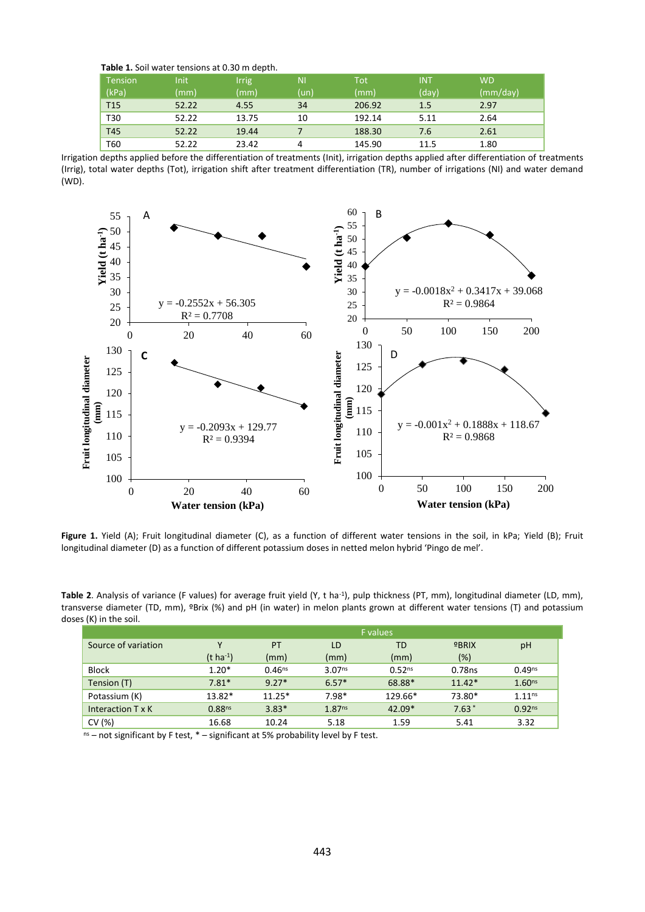|  | Table 1. Soil water tensions at 0.30 m depth. |  |
|--|-----------------------------------------------|--|
|--|-----------------------------------------------|--|

| <b>Tension</b><br>(kPa) | Init<br>(mm) | <b>Irrig</b><br>(mm) | NI.<br>(un) | <b>Tot</b><br>(mm) | <b>INT</b><br>(day) | <b>WD</b><br>(mm/day) |
|-------------------------|--------------|----------------------|-------------|--------------------|---------------------|-----------------------|
| <b>T15</b>              | 52.22        | 4.55                 | 34          | 206.92             | 1.5                 | 2.97                  |
| T30                     | 52.22        | 13.75                | 10          | 192.14             | 5.11                | 2.64                  |
| T45                     | 52.22        | 19.44                |             | 188.30             | 7.6                 | 2.61                  |
| T60                     | 52.22        | 23.42                | 4           | 145.90             | 11.5                | 1.80                  |

Irrigation depths applied before the differentiation of treatments (Init), irrigation depths applied after differentiation of treatments (Irrig), total water depths (Tot), irrigation shift after treatment differentiation (TR), number of irrigations (NI) and water demand (WD).



**Figure 1.** Yield (A); Fruit longitudinal diameter (C), as a function of different water tensions in the soil, in kPa; Yield (B); Fruit longitudinal diameter (D) as a function of different potassium doses in netted melon hybrid 'Pingo de mel'.

Table 2. Analysis of variance (F values) for average fruit yield (Y, t ha<sup>-1</sup>), pulp thickness (PT, mm), longitudinal diameter (LD, mm), transverse diameter (TD, mm), ºBrix (%) and pH (in water) in melon plants grown at different water tensions (T) and potassium doses (K) in the soil.

|                     | <b>F</b> values       |             |                    |                    |          |                    |  |  |
|---------------------|-----------------------|-------------|--------------------|--------------------|----------|--------------------|--|--|
| Source of variation | v                     | PT          | LD                 | TD                 | $9$ BRIX | pH                 |  |  |
|                     | $(t \text{ ha}^{-1})$ | (mm)        | (mm)               | (mm)               | (%)      |                    |  |  |
| <b>Block</b>        | $1.20*$               | $0.46^{ns}$ | 3.07 <sub>ns</sub> | 0.52 <sup>ns</sup> | 0.78ns   | $0.49^{ns}$        |  |  |
| Tension (T)         | $7.81*$               | $9.27*$     | $6.57*$            | 68.88*             | $11.42*$ | 1.60 <sub>ns</sub> |  |  |
| Potassium (K)       | $13.82*$              | $11.25*$    | $7.98*$            | 129.66*            | 73.80*   | 1.11 <sup>ns</sup> |  |  |
| Interaction T x K   | 0.88 <sup>ns</sup>    | $3.83*$     | 1.87 <sup>ns</sup> | $42.09*$           | $7.63*$  | 0.92 <sup>ns</sup> |  |  |
| CV(%)               | 16.68                 | 10.24       | 5.18               | 1.59               | 5.41     | 3.32               |  |  |

 $n<sub>s</sub>$  – not significant by F test,  $*$  – significant at 5% probability level by F test.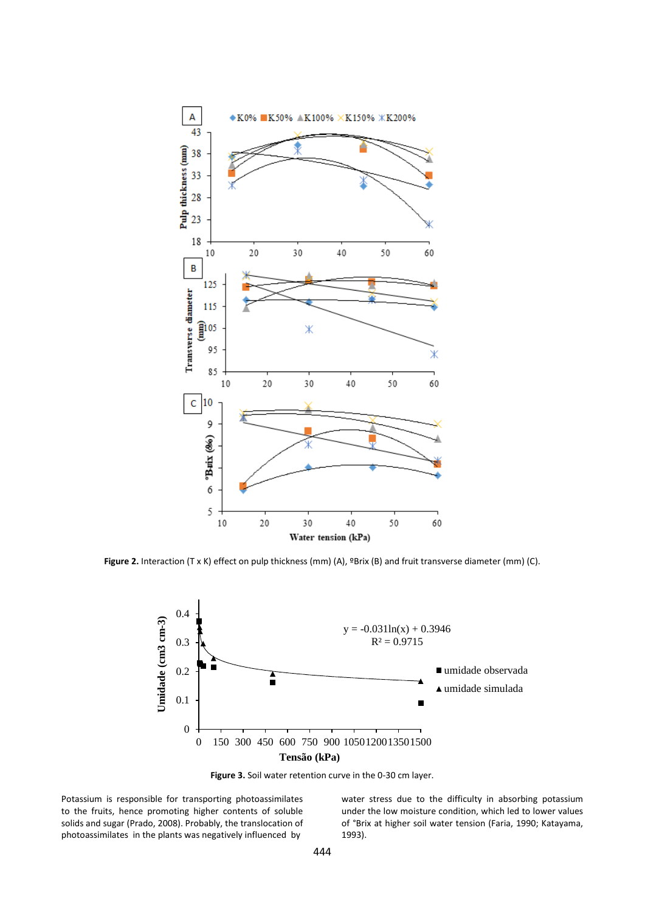

**Figure 2.** Interaction (T x K) effect on pulp thickness (mm) (A), ºBrix (B) and fruit transverse diameter (mm) (C).



**Figure 3.** Soil water retention curve in the 0-30 cm layer.

Potassium is responsible for transporting photoassimilates to the fruits, hence promoting higher contents of soluble solids and sugar (Prado, 2008). Probably, the translocation of photoassimilates in the plants was negatively influenced by

water stress due to the difficulty in absorbing potassium under the low moisture condition, which led to lower values of °Brix at higher soil water tension (Faria, 1990; Katayama, 1993).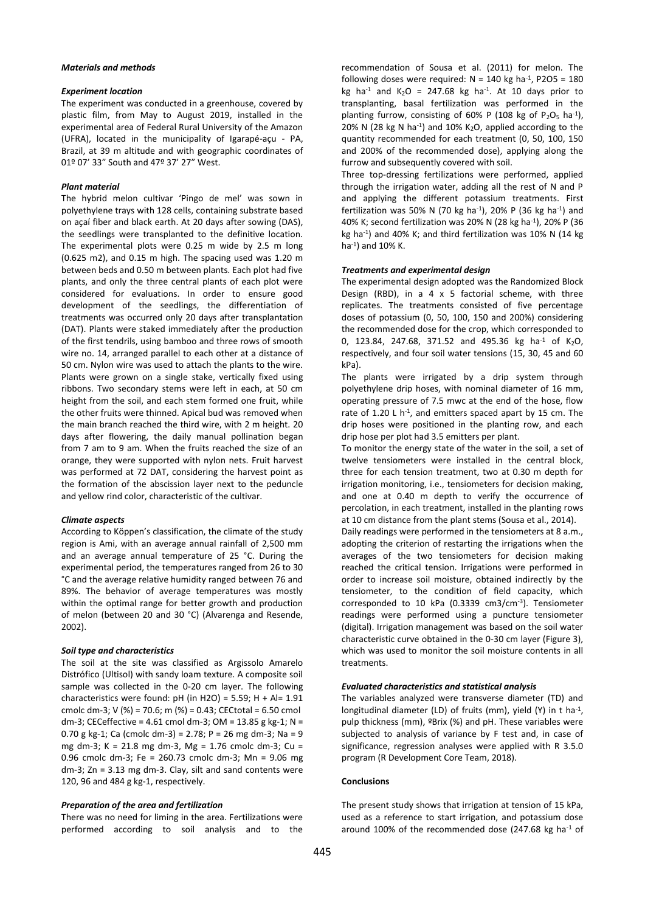## *Materials and methods*

#### *Experiment location*

The experiment was conducted in a greenhouse, covered by plastic film, from May to August 2019, installed in the experimental area of Federal Rural University of the Amazon (UFRA), located in the municipality of Igarapé-açu - PA, Brazil, at 39 m altitude and with geographic coordinates of 01º 07' 33" South and 47º 37' 27" West.

#### *Plant material*

The hybrid melon cultivar 'Pingo de mel' was sown in polyethylene trays with 128 cells, containing substrate based on açaí fiber and black earth. At 20 days after sowing (DAS), the seedlings were transplanted to the definitive location. The experimental plots were 0.25 m wide by 2.5 m long (0.625 m2), and 0.15 m high. The spacing used was 1.20 m between beds and 0.50 m between plants. Each plot had five plants, and only the three central plants of each plot were considered for evaluations. In order to ensure good development of the seedlings, the differentiation of treatments was occurred only 20 days after transplantation (DAT). Plants were staked immediately after the production of the first tendrils, using bamboo and three rows of smooth wire no. 14, arranged parallel to each other at a distance of 50 cm. Nylon wire was used to attach the plants to the wire. Plants were grown on a single stake, vertically fixed using ribbons. Two secondary stems were left in each, at 50 cm height from the soil, and each stem formed one fruit, while the other fruits were thinned. Apical bud was removed when the main branch reached the third wire, with 2 m height. 20 days after flowering, the daily manual pollination began from 7 am to 9 am. When the fruits reached the size of an orange, they were supported with nylon nets. Fruit harvest was performed at 72 DAT, considering the harvest point as the formation of the abscission layer next to the peduncle and yellow rind color, characteristic of the cultivar.

#### *Climate aspects*

According to Köppen's classification, the climate of the study region is Ami, with an average annual rainfall of 2,500 mm and an average annual temperature of 25 °C. During the experimental period, the temperatures ranged from 26 to 30 °C and the average relative humidity ranged between 76 and 89%. The behavior of average temperatures was mostly within the optimal range for better growth and production of melon (between 20 and 30 °C) (Alvarenga and Resende, 2002).

#### *Soil type and characteristics*

The soil at the site was classified as Argissolo Amarelo Distrófico (Ultisol) with sandy loam texture. A composite soil sample was collected in the 0-20 cm layer. The following characteristics were found:  $pH$  (in H2O) = 5.59; H + Al= 1.91 cmolc dm-3; V (%) = 70.6; m (%) = 0.43; CECtotal = 6.50 cmol dm-3; CECeffective = 4.61 cmol dm-3; OM = 13.85 g kg-1; N = 0.70 g kg-1; Ca (cmolc dm-3) = 2.78; P = 26 mg dm-3; Na = 9 mg dm-3; K = 21.8 mg dm-3, Mg = 1.76 cmolc dm-3; Cu = 0.96 cmolc dm-3; Fe = 260.73 cmolc dm-3; Mn = 9.06 mg dm-3; Zn = 3.13 mg dm-3. Clay, silt and sand contents were 120, 96 and 484 g kg-1, respectively.

#### *Preparation of the area and fertilization*

There was no need for liming in the area. Fertilizations were performed according to soil analysis and to the recommendation of Sousa et al. (2011) for melon. The following doses were required:  $N = 140$  kg ha<sup>-1</sup>, P2O5 = 180 kg ha<sup>-1</sup> and  $K_2O = 247.68$  kg ha<sup>-1</sup>. At 10 days prior to transplanting, basal fertilization was performed in the planting furrow, consisting of 60% P (108 kg of  $P_2O_5$  ha<sup>-1</sup>), 20% N (28 kg N ha<sup>-1</sup>) and 10% K<sub>2</sub>O, applied according to the quantity recommended for each treatment (0, 50, 100, 150 and 200% of the recommended dose), applying along the furrow and subsequently covered with soil.

Three top-dressing fertilizations were performed, applied through the irrigation water, adding all the rest of N and P and applying the different potassium treatments. First fertilization was 50% N (70 kg ha<sup>-1</sup>), 20% P (36 kg ha<sup>-1</sup>) and 40% K; second fertilization was 20% N (28 kg ha-1 ), 20% P (36 kg ha-1 ) and 40% K; and third fertilization was 10% N (14 kg ha-1 ) and 10% K.

#### *Treatments and experimental design*

The experimental design adopted was the Randomized Block Design (RBD), in a 4 x 5 factorial scheme, with three replicates. The treatments consisted of five percentage doses of potassium (0, 50, 100, 150 and 200%) considering the recommended dose for the crop, which corresponded to 0, 123.84, 247.68, 371.52 and 495.36 kg ha<sup>-1</sup> of K<sub>2</sub>O, respectively, and four soil water tensions (15, 30, 45 and 60 kPa).

The plants were irrigated by a drip system through polyethylene drip hoses, with nominal diameter of 16 mm, operating pressure of 7.5 mwc at the end of the hose, flow rate of 1.20 L  $h^{-1}$ , and emitters spaced apart by 15 cm. The drip hoses were positioned in the planting row, and each drip hose per plot had 3.5 emitters per plant.

To monitor the energy state of the water in the soil, a set of twelve tensiometers were installed in the central block, three for each tension treatment, two at 0.30 m depth for irrigation monitoring, i.e., tensiometers for decision making, and one at 0.40 m depth to verify the occurrence of percolation, in each treatment, installed in the planting rows at 10 cm distance from the plant stems (Sousa et al., 2014).

Daily readings were performed in the tensiometers at 8 a.m., adopting the criterion of restarting the irrigations when the averages of the two tensiometers for decision making reached the critical tension. Irrigations were performed in order to increase soil moisture, obtained indirectly by the tensiometer, to the condition of field capacity, which corresponded to 10 kPa (0.3339 cm3/cm-3 ). Tensiometer readings were performed using a puncture tensiometer (digital). Irrigation management was based on the soil water characteristic curve obtained in the 0-30 cm layer (Figure 3), which was used to monitor the soil moisture contents in all treatments.

#### *Evaluated characteristics and statistical analysis*

The variables analyzed were transverse diameter (TD) and longitudinal diameter (LD) of fruits (mm), yield (Y) in t ha<sup>-1</sup>, pulp thickness (mm), ºBrix (%) and pH. These variables were subjected to analysis of variance by F test and, in case of significance, regression analyses were applied with R 3.5.0 program (R Development Core Team, 2018).

#### **Conclusions**

The present study shows that irrigation at tension of 15 kPa, used as a reference to start irrigation, and potassium dose around 100% of the recommended dose (247.68 kg ha $^{-1}$  of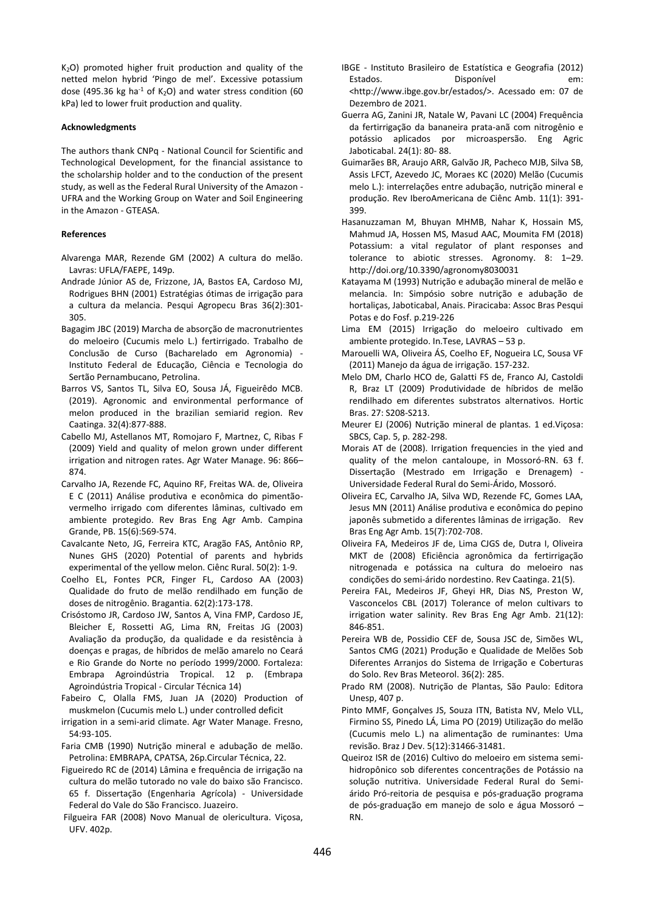$K<sub>2</sub>O$ ) promoted higher fruit production and quality of the netted melon hybrid 'Pingo de mel'. Excessive potassium dose (495.36 kg ha<sup>-1</sup> of K<sub>2</sub>O) and water stress condition (60 kPa) led to lower fruit production and quality.

#### **Acknowledgments**

The authors thank CNPq - National Council for Scientific and Technological Development, for the financial assistance to the scholarship holder and to the conduction of the present study, as well as the Federal Rural University of the Amazon - UFRA and the Working Group on Water and Soil Engineering in the Amazon - GTEASA.

# **References**

- Alvarenga MAR, Rezende GM (2002) A cultura do melão. Lavras: UFLA/FAEPE, 149p.
- Andrade Júnior AS de, Frizzone, JA, Bastos EA, Cardoso MJ, Rodrigues BHN (2001) Estratégias ótimas de irrigação para a cultura da melancia. Pesqui Agropecu Bras 36(2):301- 305.
- Bagagim JBC (2019) Marcha de absorção de macronutrientes do meloeiro (Cucumis melo L.) fertirrigado. Trabalho de Conclusão de Curso (Bacharelado em Agronomia) - Instituto Federal de Educação, Ciência e Tecnologia do Sertão Pernambucano, Petrolina.
- Barros VS, Santos TL, Silva EO, Sousa JÁ, Figueirêdo MCB. (2019). Agronomic and environmental performance of melon produced in the brazilian semiarid region. Rev Caatinga. 32(4):877-888.
- Cabello MJ, Astellanos MT, Romojaro F, Martnez, C, Ribas F (2009) Yield and quality of melon grown under different irrigation and nitrogen rates. Agr Water Manage. 96: 866– 874.
- Carvalho JA, Rezende FC, Aquino RF, Freitas WA. de, Oliveira E C (2011) Análise produtiva e econômica do pimentãovermelho irrigado com diferentes lâminas, cultivado em ambiente protegido. Rev Bras Eng Agr Amb. Campina Grande, PB. 15(6):569-574.
- Cavalcante Neto, JG, Ferreira KTC, Aragão FAS, Antônio RP, Nunes GHS (2020) Potential of parents and hybrids experimental of the yellow melon. Ciênc Rural. 50(2): 1-9.
- Coelho EL, Fontes PCR, Finger FL, Cardoso AA (2003) Qualidade do fruto de melão rendilhado em função de doses de nitrogênio. Bragantia. 62(2):173-178.
- Crisóstomo JR, Cardoso JW, Santos A, Vina FMP, Cardoso JE, Bleicher E, Rossetti AG, Lima RN, Freitas JG (2003) Avaliação da produção, da qualidade e da resistência à doenças e pragas, de híbridos de melão amarelo no Ceará e Rio Grande do Norte no período 1999/2000. Fortaleza: Embrapa Agroindústria Tropical. 12 p. (Embrapa Agroindústria Tropical - Circular Técnica 14)
- Fabeiro C, Olalla FMS, Juan JA (2020) Production of muskmelon (Cucumis melo L.) under controlled deficit
- irrigation in a semi-arid climate. Agr Water Manage. Fresno, 54:93-105.
- Faria CMB (1990) Nutrição mineral e adubação de melão. Petrolina: EMBRAPA, CPATSA, 26p.Circular Técnica, 22.
- Figueiredo RC de (2014) Lâmina e frequência de irrigação na cultura do melão tutorado no vale do baixo são Francisco. 65 f. Dissertação (Engenharia Agrícola) - Universidade Federal do Vale do São Francisco. Juazeiro.
- Filgueira FAR (2008) Novo Manual de olericultura. Viçosa, UFV. 402p.
- IBGE Instituto Brasileiro de Estatística e Geografia (2012) Estados. Disponível em: <http://www.ibge.gov.br/estados/>. Acessado em: 07 de Dezembro de 2021.
- Guerra AG, Zanini JR, Natale W, Pavani LC (2004) Frequência da fertirrigação da bananeira prata-anã com nitrogênio e potássio aplicados por microaspersão. Eng Agric Jaboticabal. 24(1): 80- 88.
- Guimarães BR, Araujo ARR, Galvão JR, Pacheco MJB, Silva SB, Assis LFCT, Azevedo JC, Moraes KC (2020) Melão (Cucumis melo L.): interrelações entre adubação, nutrição mineral e produção. Rev IberoAmericana de Ciênc Amb. 11(1): 391- 399.
- Hasanuzzaman M, Bhuyan MHMB, Nahar K, Hossain MS, Mahmud JA, Hossen MS, Masud AAC, Moumita FM (2018) Potassium: a vital regulator of plant responses and tolerance to abiotic stresses. Agronomy. 8: 1–29. http://doi.org/10.3390/agronomy8030031
- Katayama M (1993) Nutrição e adubação mineral de melão e melancia. In: Simpósio sobre nutrição e adubação de hortaliças, Jaboticabal, Anais. Piracicaba: Assoc Bras Pesqui Potas e do Fosf. p.219-226
- Lima EM (2015) Irrigação do meloeiro cultivado em ambiente protegido. In.Tese, LAVRAS – 53 p.
- Marouelli WA, Oliveira ÁS, Coelho EF, Nogueira LC, Sousa VF (2011) Manejo da água de irrigação. 157-232.
- Melo DM, Charlo HCO de, Galatti FS de, Franco AJ, Castoldi R, Braz LT (2009) Produtividade de híbridos de melão rendilhado em diferentes substratos alternativos. Hortic Bras. 27: S208-S213.
- Meurer EJ (2006) Nutrição mineral de plantas. 1 ed.Viçosa: SBCS, Cap. 5, p. 282-298.
- Morais AT de (2008). Irrigation frequencies in the yied and quality of the melon cantaloupe, in Mossoró-RN. 63 f. Dissertação (Mestrado em Irrigação e Drenagem) Universidade Federal Rural do Semi-Árido, Mossoró.
- Oliveira EC, Carvalho JA, Silva WD, Rezende FC, Gomes LAA, Jesus MN (2011) Análise produtiva e econômica do pepino japonês submetido a diferentes lâminas de irrigação. Rev Bras Eng Agr Amb. 15(7):702-708.
- Oliveira FA, Medeiros JF de, Lima CJGS de, Dutra I, Oliveira MKT de (2008) Eficiência agronômica da fertirrigação nitrogenada e potássica na cultura do meloeiro nas condições do semi-árido nordestino. Rev Caatinga. 21(5).
- Pereira FAL, Medeiros JF, Gheyi HR, Dias NS, Preston W, Vasconcelos CBL (2017) Tolerance of melon cultivars to irrigation water salinity. Rev Bras Eng Agr Amb. 21(12): 846-851.
- Pereira WB de, Possidio CEF de, Sousa JSC de, Simões WL, Santos CMG (2021) Produção e Qualidade de Melões Sob Diferentes Arranjos do Sistema de Irrigação e Coberturas do Solo. Rev Bras Meteorol. 36(2): 285.
- Prado RM (2008). Nutrição de Plantas, São Paulo: Editora Unesp, 407 p.
- Pinto MMF, Gonçalves JS, Souza ITN, Batista NV, Melo VLL, Firmino SS, Pinedo LÁ, Lima PO (2019) Utilização do melão (Cucumis melo L.) na alimentação de ruminantes: Uma revisão. Braz J Dev. 5(12):31466-31481.
- Queiroz ISR de (2016) Cultivo do meloeiro em sistema semihidropônico sob diferentes concentrações de Potássio na solução nutritiva. Universidade Federal Rural do Semiárido Pró-reitoria de pesquisa e pós-graduação programa de pós-graduação em manejo de solo e água Mossoró – RN.